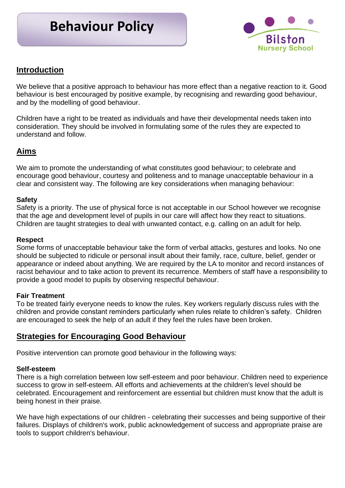# **Behaviour Policy**



# **Introduction**

We believe that a positive approach to behaviour has more effect than a negative reaction to it. Good behaviour is best encouraged by positive example, by recognising and rewarding good behaviour, and by the modelling of good behaviour.

Children have a right to be treated as individuals and have their developmental needs taken into consideration. They should be involved in formulating some of the rules they are expected to understand and follow.

# **Aims**

We aim to promote the understanding of what constitutes good behaviour; to celebrate and encourage good behaviour, courtesy and politeness and to manage unacceptable behaviour in a clear and consistent way. The following are key considerations when managing behaviour:

## **Safety**

Safety is a priority. The use of physical force is not acceptable in our School however we recognise that the age and development level of pupils in our care will affect how they react to situations. Children are taught strategies to deal with unwanted contact, e.g. calling on an adult for help.

## **Respect**

Some forms of unacceptable behaviour take the form of verbal attacks, gestures and looks. No one should be subjected to ridicule or personal insult about their family, race, culture, belief, gender or appearance or indeed about anything. We are required by the LA to monitor and record instances of racist behaviour and to take action to prevent its recurrence. Members of staff have a responsibility to provide a good model to pupils by observing respectful behaviour.

#### **Fair Treatment**

To be treated fairly everyone needs to know the rules. Key workers regularly discuss rules with the children and provide constant reminders particularly when rules relate to children's safety. Children are encouraged to seek the help of an adult if they feel the rules have been broken.

# **Strategies for Encouraging Good Behaviour**

Positive intervention can promote good behaviour in the following ways:

#### **Self-esteem**

There is a high correlation between low self-esteem and poor behaviour. Children need to experience success to grow in self-esteem. All efforts and achievements at the children's level should be celebrated. Encouragement and reinforcement are essential but children must know that the adult is being honest in their praise.

We have high expectations of our children - celebrating their successes and being supportive of their failures. Displays of children's work, public acknowledgement of success and appropriate praise are tools to support children's behaviour.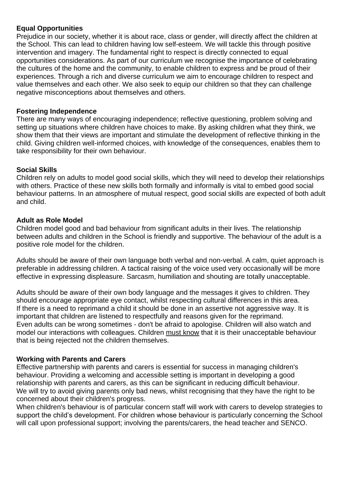## **Equal Opportunities**

Prejudice in our society, whether it is about race, class or gender, will directly affect the children at the School. This can lead to children having low self-esteem. We will tackle this through positive intervention and imagery. The fundamental right to respect is directly connected to equal opportunities considerations. As part of our curriculum we recognise the importance of celebrating the cultures of the home and the community, to enable children to express and be proud of their experiences. Through a rich and diverse curriculum we aim to encourage children to respect and value themselves and each other. We also seek to equip our children so that they can challenge negative misconceptions about themselves and others.

## **Fostering Independence**

There are many ways of encouraging independence; reflective questioning, problem solving and setting up situations where children have choices to make. By asking children what they think, we show them that their views are important and stimulate the development of reflective thinking in the child. Giving children well-informed choices, with knowledge of the consequences, enables them to take responsibility for their own behaviour.

## **Social Skills**

Children rely on adults to model good social skills, which they will need to develop their relationships with others. Practice of these new skills both formally and informally is vital to embed good social behaviour patterns. In an atmosphere of mutual respect, good social skills are expected of both adult and child.

## **Adult as Role Model**

Children model good and bad behaviour from significant adults in their lives. The relationship between adults and children in the School is friendly and supportive. The behaviour of the adult is a positive role model for the children.

Adults should be aware of their own language both verbal and non-verbal. A calm, quiet approach is preferable in addressing children. A tactical raising of the voice used very occasionally will be more effective in expressing displeasure. Sarcasm, humiliation and shouting are totally unacceptable.

Adults should be aware of their own body language and the messages it gives to children. They should encourage appropriate eye contact, whilst respecting cultural differences in this area. If there is a need to reprimand a child it should be done in an assertive not aggressive way. It is important that children are listened to respectfully and reasons given for the reprimand. Even adults can be wrong sometimes - don't be afraid to apologise. Children will also watch and model our interactions with colleagues. Children must know that it is their unacceptable behaviour that is being rejected not the children themselves.

#### **Working with Parents and Carers**

Effective partnership with parents and carers is essential for success in managing children's behaviour. Providing a welcoming and accessible setting is important in developing a good relationship with parents and carers, as this can be significant in reducing difficult behaviour. We will try to avoid giving parents only bad news, whilst recognising that they have the right to be concerned about their children's progress.

When children's behaviour is of particular concern staff will work with carers to develop strategies to support the child's development. For children whose behaviour is particularly concerning the School will call upon professional support; involving the parents/carers, the head teacher and SENCO.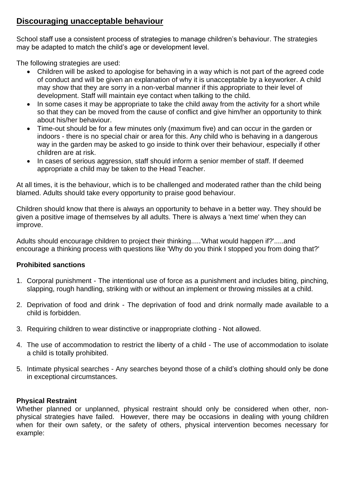# **Discouraging unacceptable behaviour**

School staff use a consistent process of strategies to manage children's behaviour. The strategies may be adapted to match the child's age or development level.

The following strategies are used:

- Children will be asked to apologise for behaving in a way which is not part of the agreed code of conduct and will be given an explanation of why it is unacceptable by a keyworker. A child may show that they are sorry in a non-verbal manner if this appropriate to their level of development. Staff will maintain eye contact when talking to the child.
- In some cases it may be appropriate to take the child away from the activity for a short while so that they can be moved from the cause of conflict and give him/her an opportunity to think about his/her behaviour.
- Time-out should be for a few minutes only (maximum five) and can occur in the garden or indoors - there is no special chair or area for this. Any child who is behaving in a dangerous way in the garden may be asked to go inside to think over their behaviour, especially if other children are at risk.
- In cases of serious aggression, staff should inform a senior member of staff. If deemed appropriate a child may be taken to the Head Teacher.

At all times, it is the behaviour, which is to be challenged and moderated rather than the child being blamed. Adults should take every opportunity to praise good behaviour.

Children should know that there is always an opportunity to behave in a better way. They should be given a positive image of themselves by all adults. There is always a 'next time' when they can improve.

Adults should encourage children to project their thinking.....'What would happen if?'.....and encourage a thinking process with questions like 'Why do you think I stopped you from doing that?'

# **Prohibited sanctions**

- 1. Corporal punishment The intentional use of force as a punishment and includes biting, pinching, slapping, rough handling, striking with or without an implement or throwing missiles at a child.
- 2. Deprivation of food and drink The deprivation of food and drink normally made available to a child is forbidden.
- 3. Requiring children to wear distinctive or inappropriate clothing Not allowed.
- 4. The use of accommodation to restrict the liberty of a child The use of accommodation to isolate a child is totally prohibited.
- 5. Intimate physical searches Any searches beyond those of a child's clothing should only be done in exceptional circumstances.

# **Physical Restraint**

Whether planned or unplanned, physical restraint should only be considered when other, nonphysical strategies have failed. However, there may be occasions in dealing with young children when for their own safety, or the safety of others, physical intervention becomes necessary for example: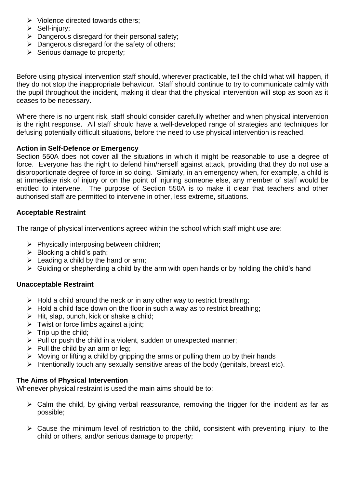- $\triangleright$  Violence directed towards others;
- $\triangleright$  Self-injury;
- $\triangleright$  Dangerous disregard for their personal safety:
- $\triangleright$  Dangerous disregard for the safety of others;
- $\triangleright$  Serious damage to property;

Before using physical intervention staff should, wherever practicable, tell the child what will happen, if they do not stop the inappropriate behaviour. Staff should continue to try to communicate calmly with the pupil throughout the incident, making it clear that the physical intervention will stop as soon as it ceases to be necessary.

Where there is no urgent risk, staff should consider carefully whether and when physical intervention is the right response. All staff should have a well-developed range of strategies and techniques for defusing potentially difficult situations, before the need to use physical intervention is reached.

# **Action in Self-Defence or Emergency**

Section 550A does not cover all the situations in which it might be reasonable to use a degree of force. Everyone has the right to defend him/herself against attack, providing that they do not use a disproportionate degree of force in so doing. Similarly, in an emergency when, for example, a child is at immediate risk of injury or on the point of injuring someone else, any member of staff would be entitled to intervene. The purpose of Section 550A is to make it clear that teachers and other authorised staff are permitted to intervene in other, less extreme, situations.

# **Acceptable Restraint**

The range of physical interventions agreed within the school which staff might use are:

- $\triangleright$  Physically interposing between children;
- $\triangleright$  Blocking a child's path:
- $\triangleright$  Leading a child by the hand or arm;
- $\triangleright$  Guiding or shepherding a child by the arm with open hands or by holding the child's hand

# **Unacceptable Restraint**

- $\triangleright$  Hold a child around the neck or in any other way to restrict breathing;
- $\triangleright$  Hold a child face down on the floor in such a way as to restrict breathing;
- $\triangleright$  Hit, slap, punch, kick or shake a child;
- $\triangleright$  Twist or force limbs against a joint;
- $\triangleright$  Trip up the child;
- $\triangleright$  Pull or push the child in a violent, sudden or unexpected manner;
- $\triangleright$  Pull the child by an arm or leg;
- $\triangleright$  Moving or lifting a child by gripping the arms or pulling them up by their hands
- $\triangleright$  Intentionally touch any sexually sensitive areas of the body (genitals, breast etc).

# **The Aims of Physical Intervention**

Whenever physical restraint is used the main aims should be to:

- $\triangleright$  Calm the child, by giving verbal reassurance, removing the trigger for the incident as far as possible;
- $\triangleright$  Cause the minimum level of restriction to the child, consistent with preventing injury, to the child or others, and/or serious damage to property;